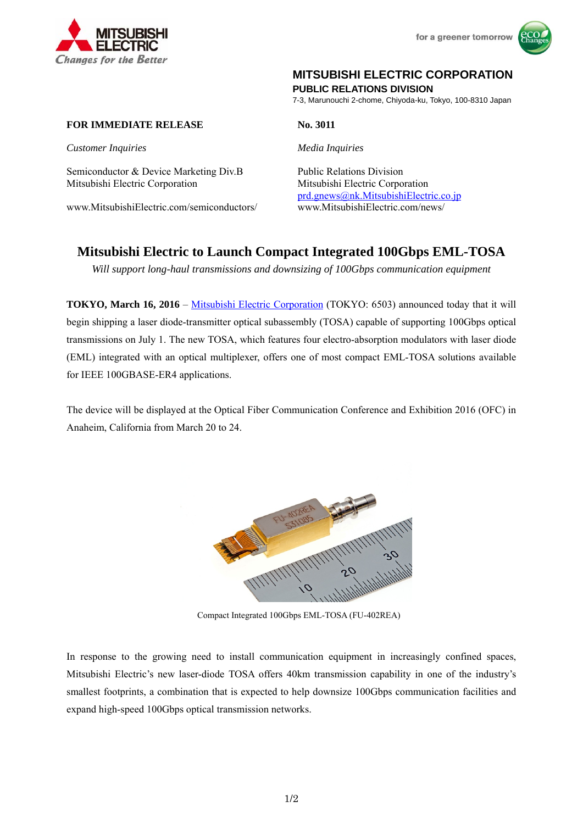



#### **MITSUBISHI ELECTRIC CORPORATION**

**PUBLIC RELATIONS DIVISION** 

7-3, Marunouchi 2-chome, Chiyoda-ku, Tokyo, 100-8310 Japan

#### **FOR IMMEDIATE RELEASE No. 3011**

*Customer Inquiries Media Inquiries*

Semiconductor & Device Marketing Div.B Public Relations Division Mitsubishi Electric Corporation Mitsubishi Electric Corporation

www.MitsubishiElectric.com/semiconductors/ www.MitsubishiElectric.com/news/

prd.gnews@nk.MitsubishiElectric.co.jp

# **Mitsubishi Electric to Launch Compact Integrated 100Gbps EML-TOSA**

*Will support long-haul transmissions and downsizing of 100Gbps communication equipment* 

**TOKYO, March 16, 2016** – Mitsubishi Electric Corporation (TOKYO: 6503) announced today that it will begin shipping a laser diode-transmitter optical subassembly (TOSA) capable of supporting 100Gbps optical transmissions on July 1. The new TOSA, which features four electro-absorption modulators with laser diode (EML) integrated with an optical multiplexer, offers one of most compact EML-TOSA solutions available for IEEE 100GBASE-ER4 applications.

The device will be displayed at the Optical Fiber Communication Conference and Exhibition 2016 (OFC) in Anaheim, California from March 20 to 24.



Compact Integrated 100Gbps EML-TOSA (FU-402REA)

In response to the growing need to install communication equipment in increasingly confined spaces, Mitsubishi Electric's new laser-diode TOSA offers 40km transmission capability in one of the industry's smallest footprints, a combination that is expected to help downsize 100Gbps communication facilities and expand high-speed 100Gbps optical transmission networks.